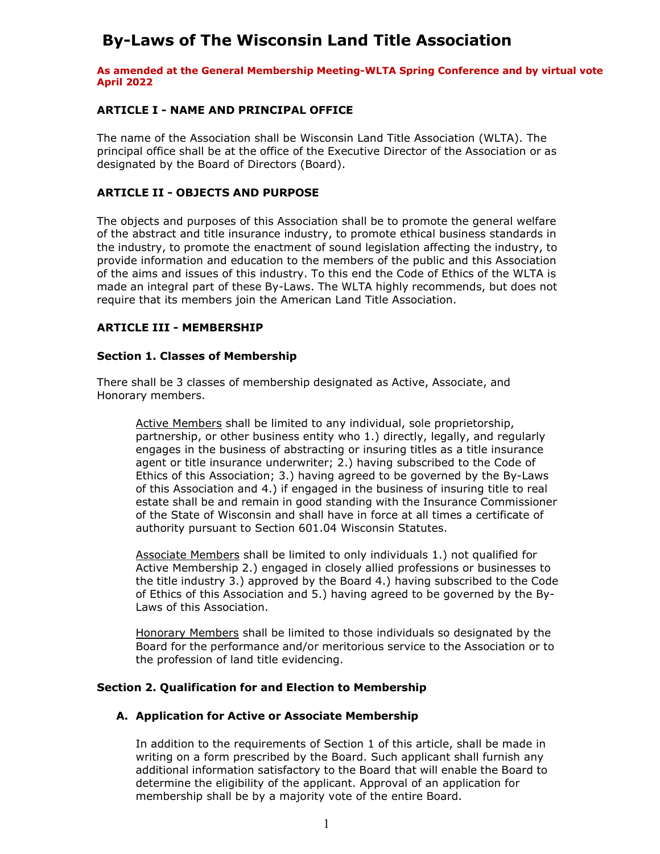# **By-Laws of The Wisconsin Land Title Association**

**As amended at the General Membership Meeting-WLTA Spring Conference and by virtual vote April 2022**

# **ARTICLE I - NAME AND PRINCIPAL OFFICE**

The name of the Association shall be Wisconsin Land Title Association (WLTA). The principal office shall be at the office of the Executive Director of the Association or as designated by the Board of Directors (Board).

## **ARTICLE II - OBJECTS AND PURPOSE**

The objects and purposes of this Association shall be to promote the general welfare of the abstract and title insurance industry, to promote ethical business standards in the industry, to promote the enactment of sound legislation affecting the industry, to provide information and education to the members of the public and this Association of the aims and issues of this industry. To this end the Code of Ethics of the WLTA is made an integral part of these By-Laws. The WLTA highly recommends, but does not require that its members join the American Land Title Association.

#### **ARTICLE III - MEMBERSHIP**

#### **Section 1. Classes of Membership**

There shall be 3 classes of membership designated as Active, Associate, and Honorary members.

Active Members shall be limited to any individual, sole proprietorship, partnership, or other business entity who 1.) directly, legally, and regularly engages in the business of abstracting or insuring titles as a title insurance agent or title insurance underwriter; 2.) having subscribed to the Code of Ethics of this Association; 3.) having agreed to be governed by the By-Laws of this Association and 4.) if engaged in the business of insuring title to real estate shall be and remain in good standing with the Insurance Commissioner of the State of Wisconsin and shall have in force at all times a certificate of authority pursuant to Section 601.04 Wisconsin Statutes.

Associate Members shall be limited to only individuals 1.) not qualified for Active Membership 2.) engaged in closely allied professions or businesses to the title industry 3.) approved by the Board 4.) having subscribed to the Code of Ethics of this Association and 5.) having agreed to be governed by the By-Laws of this Association.

Honorary Members shall be limited to those individuals so designated by the Board for the performance and/or meritorious service to the Association or to the profession of land title evidencing.

# **Section 2. Qualification for and Election to Membership**

#### **A. Application for Active or Associate Membership**

In addition to the requirements of Section 1 of this article, shall be made in writing on a form prescribed by the Board. Such applicant shall furnish any additional information satisfactory to the Board that will enable the Board to determine the eligibility of the applicant. Approval of an application for membership shall be by a majority vote of the entire Board.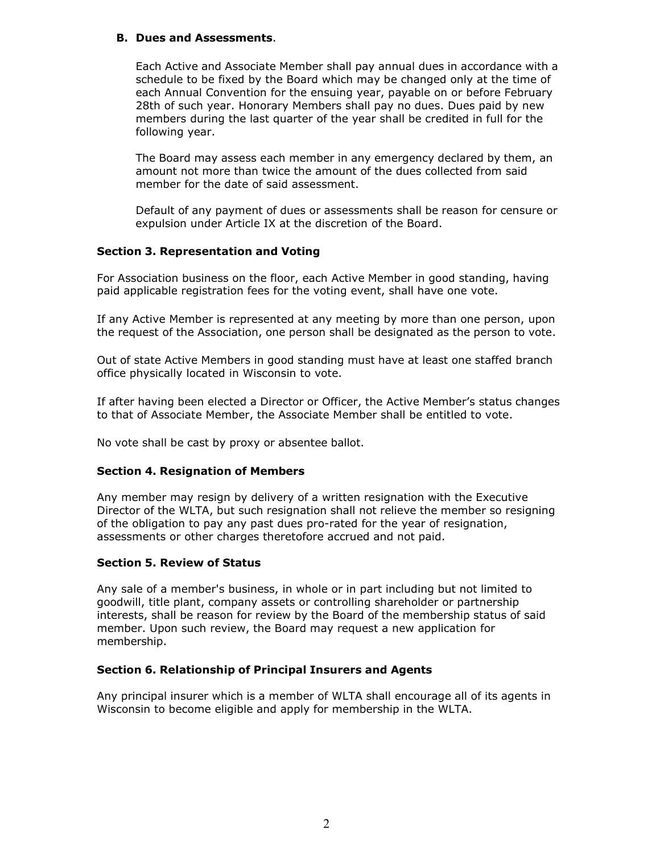## **B. Dues and Assessments**.

Each Active and Associate Member shall pay annual dues in accordance with a schedule to be fixed by the Board which may be changed only at the time of each Annual Convention for the ensuing year, payable on or before February 28th of such year. Honorary Members shall pay no dues. Dues paid by new members during the last quarter of the year shall be credited in full for the following year.

The Board may assess each member in any emergency declared by them, an amount not more than twice the amount of the dues collected from said member for the date of said assessment.

Default of any payment of dues or assessments shall be reason for censure or expulsion under Article IX at the discretion of the Board.

# **Section 3. Representation and Voting**

For Association business on the floor, each Active Member in good standing, having paid applicable registration fees for the voting event, shall have one vote.

If any Active Member is represented at any meeting by more than one person, upon the request of the Association, one person shall be designated as the person to vote.

Out of state Active Members in good standing must have at least one staffed branch office physically located in Wisconsin to vote.

If after having been elected a Director or Officer, the Active Member's status changes to that of Associate Member, the Associate Member shall be entitled to vote.

No vote shall be cast by proxy or absentee ballot.

# **Section 4. Resignation of Members**

Any member may resign by delivery of a written resignation with the Executive Director of the WLTA, but such resignation shall not relieve the member so resigning of the obligation to pay any past dues pro-rated for the year of resignation, assessments or other charges theretofore accrued and not paid.

# **Section 5. Review of Status**

Any sale of a member's business, in whole or in part including but not limited to goodwill, title plant, company assets or controlling shareholder or partnership interests, shall be reason for review by the Board of the membership status of said member. Upon such review, the Board may request a new application for membership.

# **Section 6. Relationship of Principal Insurers and Agents**

Any principal insurer which is a member of WLTA shall encourage all of its agents in Wisconsin to become eligible and apply for membership in the WLTA.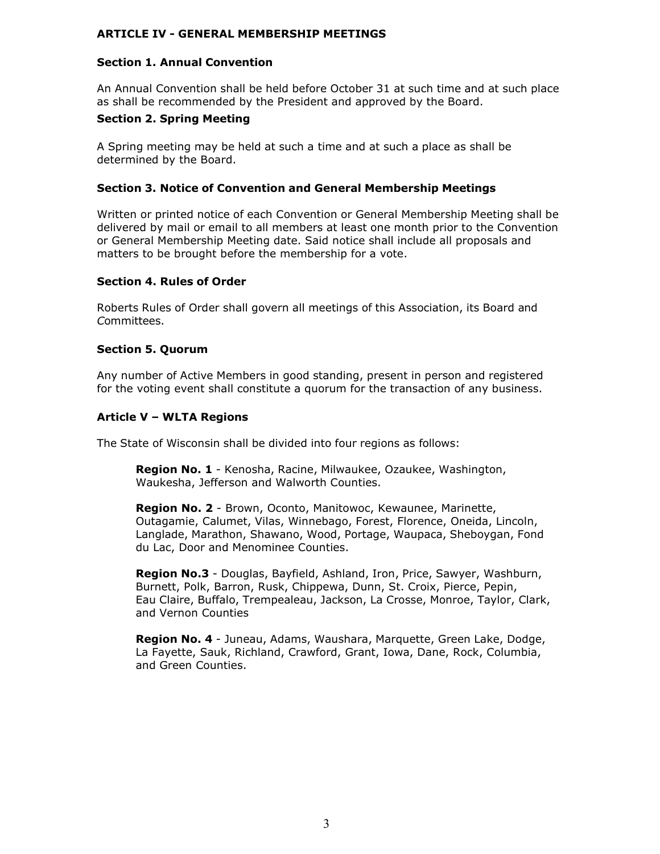#### **ARTICLE IV - GENERAL MEMBERSHIP MEETINGS**

#### **Section 1. Annual Convention**

An Annual Convention shall be held before October 31 at such time and at such place as shall be recommended by the President and approved by the Board.

#### **Section 2. Spring Meeting**

A Spring meeting may be held at such a time and at such a place as shall be determined by the Board.

#### **Section 3. Notice of Convention and General Membership Meetings**

Written or printed notice of each Convention or General Membership Meeting shall be delivered by mail or email to all members at least one month prior to the Convention or General Membership Meeting date. Said notice shall include all proposals and matters to be brought before the membership for a vote.

#### **Section 4. Rules of Order**

Roberts Rules of Order shall govern all meetings of this Association, its Board and *C*ommittees.

#### **Section 5. Quorum**

Any number of Active Members in good standing, present in person and registered for the voting event shall constitute a quorum for the transaction of any business.

#### **Article V – WLTA Regions**

The State of Wisconsin shall be divided into four regions as follows:

**Region No. 1** - Kenosha, Racine, Milwaukee, Ozaukee, Washington, Waukesha, Jefferson and Walworth Counties.

**Region No. 2** - Brown, Oconto, Manitowoc, Kewaunee, Marinette, Outagamie, Calumet, Vilas, Winnebago, Forest, Florence, Oneida, Lincoln, Langlade, Marathon, Shawano, Wood, Portage, Waupaca, Sheboygan, Fond du Lac, Door and Menominee Counties.

**Region No.3** - Douglas, Bayfield, Ashland, Iron, Price, Sawyer, Washburn, Burnett, Polk, Barron, Rusk, Chippewa, Dunn, St. Croix, Pierce, Pepin, Eau Claire, Buffalo, Trempealeau, Jackson, La Crosse, Monroe, Taylor, Clark, and Vernon Counties

**Region No. 4** - Juneau, Adams, Waushara, Marquette, Green Lake, Dodge, La Fayette, Sauk, Richland, Crawford, Grant, Iowa, Dane, Rock, Columbia, and Green Counties.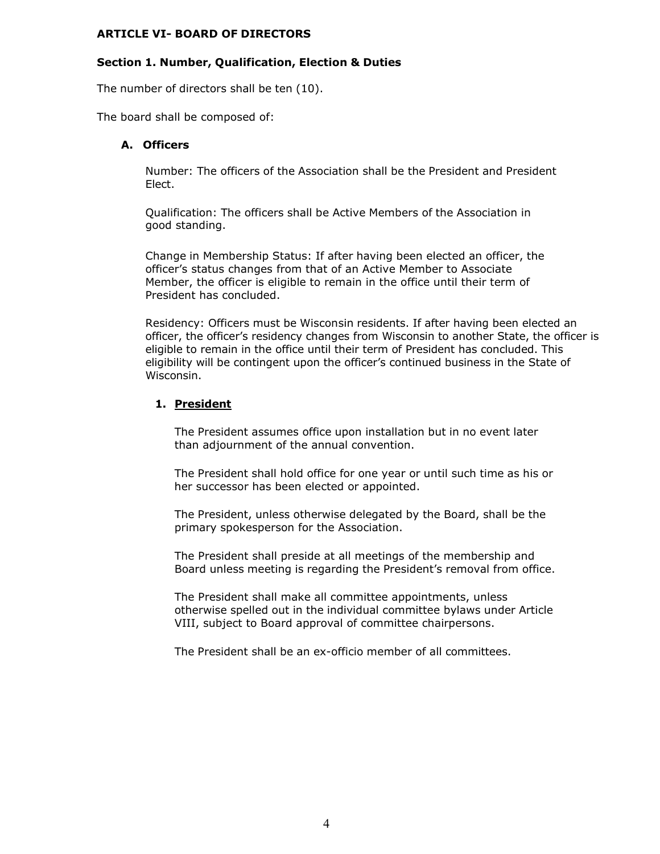#### **ARTICLE VI- BOARD OF DIRECTORS**

#### **Section 1. Number, Qualification, Election & Duties**

The number of directors shall be ten (10).

The board shall be composed of:

#### **A. Officers**

Number: The officers of the Association shall be the President and President Elect.

Qualification: The officers shall be Active Members of the Association in good standing.

Change in Membership Status: If after having been elected an officer, the officer's status changes from that of an Active Member to Associate Member, the officer is eligible to remain in the office until their term of President has concluded.

Residency: Officers must be Wisconsin residents. If after having been elected an officer, the officer's residency changes from Wisconsin to another State, the officer is eligible to remain in the office until their term of President has concluded. This eligibility will be contingent upon the officer's continued business in the State of Wisconsin.

## **1. President**

The President assumes office upon installation but in no event later than adjournment of the annual convention.

The President shall hold office for one year or until such time as his or her successor has been elected or appointed.

The President, unless otherwise delegated by the Board, shall be the primary spokesperson for the Association.

The President shall preside at all meetings of the membership and Board unless meeting is regarding the President's removal from office.

The President shall make all committee appointments, unless otherwise spelled out in the individual committee bylaws under Article VIII, subject to Board approval of committee chairpersons.

The President shall be an ex-officio member of all committees.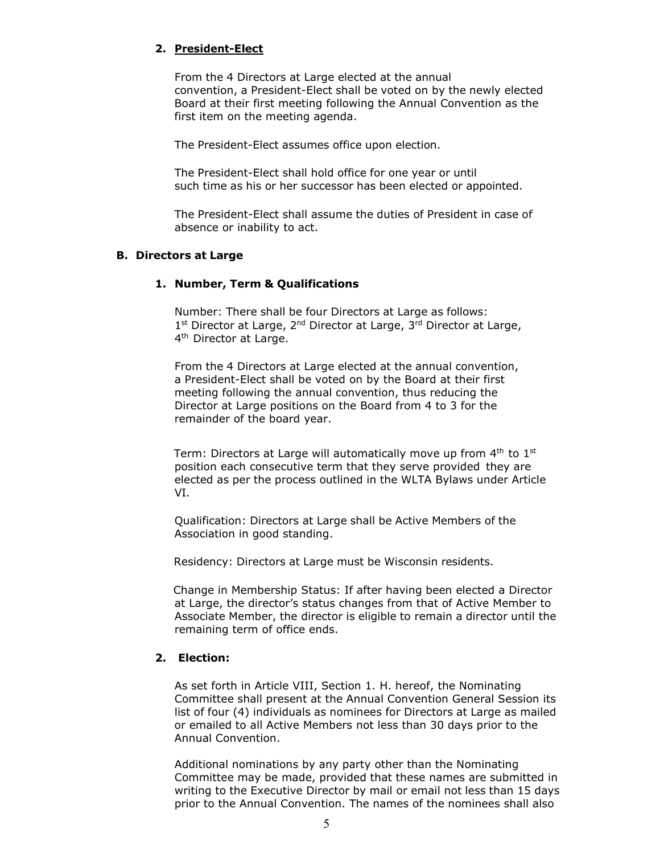## **2. President-Elect**

From the 4 Directors at Large elected at the annual convention, a President-Elect shall be voted on by the newly elected Board at their first meeting following the Annual Convention as the first item on the meeting agenda.

The President-Elect assumes office upon election.

The President-Elect shall hold office for one year or until such time as his or her successor has been elected or appointed.

The President-Elect shall assume the duties of President in case of absence or inability to act.

#### **B. Directors at Large**

# **1. Number, Term & Qualifications**

Number: There shall be four Directors at Large as follows: 1<sup>st</sup> Director at Large, 2<sup>nd</sup> Director at Large, 3<sup>rd</sup> Director at Large, 4<sup>th</sup> Director at Large.

From the 4 Directors at Large elected at the annual convention, a President-Elect shall be voted on by the Board at their first meeting following the annual convention, thus reducing the Director at Large positions on the Board from 4 to 3 for the remainder of the board year.

Term: Directors at Large will automatically move up from  $4<sup>th</sup>$  to  $1<sup>st</sup>$ position each consecutive term that they serve provided they are elected as per the process outlined in the WLTA Bylaws under Article VI.

Qualification: Directors at Large shall be Active Members of the Association in good standing.

Residency: Directors at Large must be Wisconsin residents.

Change in Membership Status: If after having been elected a Director at Large, the director's status changes from that of Active Member to Associate Member, the director is eligible to remain a director until the remaining term of office ends.

# **2. Election:**

As set forth in Article VIII, Section 1. H. hereof, the Nominating Committee shall present at the Annual Convention General Session its list of four (4) individuals as nominees for Directors at Large as mailed or emailed to all Active Members not less than 30 days prior to the Annual Convention.

Additional nominations by any party other than the Nominating Committee may be made, provided that these names are submitted in writing to the Executive Director by mail or email not less than 15 days prior to the Annual Convention. The names of the nominees shall also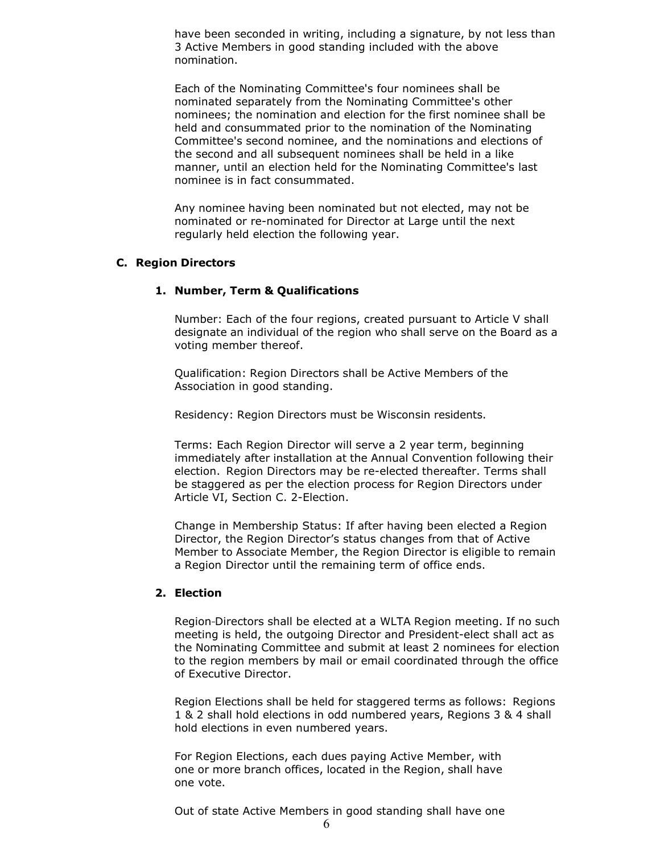have been seconded in writing, including a signature, by not less than 3 Active Members in good standing included with the above nomination.

Each of the Nominating Committee's four nominees shall be nominated separately from the Nominating Committee's other nominees; the nomination and election for the first nominee shall be held and consummated prior to the nomination of the Nominating Committee's second nominee, and the nominations and elections of the second and all subsequent nominees shall be held in a like manner, until an election held for the Nominating Committee's last nominee is in fact consummated.

Any nominee having been nominated but not elected, may not be nominated or re-nominated for Director at Large until the next regularly held election the following year.

#### **C. Region Directors**

#### **1. Number, Term & Qualifications**

Number: Each of the four regions, created pursuant to Article V shall designate an individual of the region who shall serve on the Board as a voting member thereof.

Qualification: Region Directors shall be Active Members of the Association in good standing.

Residency: Region Directors must be Wisconsin residents.

Terms: Each Region Director will serve a 2 year term, beginning immediately after installation at the Annual Convention following their election. Region Directors may be re-elected thereafter. Terms shall be staggered as per the election process for Region Directors under Article VI, Section C. 2-Election.

Change in Membership Status: If after having been elected a Region Director, the Region Director's status changes from that of Active Member to Associate Member, the Region Director is eligible to remain a Region Director until the remaining term of office ends.

# **2. Election**

Region Directors shall be elected at a WLTA Region meeting. If no such meeting is held, the outgoing Director and President-elect shall act as the Nominating Committee and submit at least 2 nominees for election to the region members by mail or email coordinated through the office of Executive Director.

Region Elections shall be held for staggered terms as follows: Regions 1 & 2 shall hold elections in odd numbered years, Regions 3 & 4 shall hold elections in even numbered years.

For Region Elections, each dues paying Active Member, with one or more branch offices, located in the Region, shall have one vote.

Out of state Active Members in good standing shall have one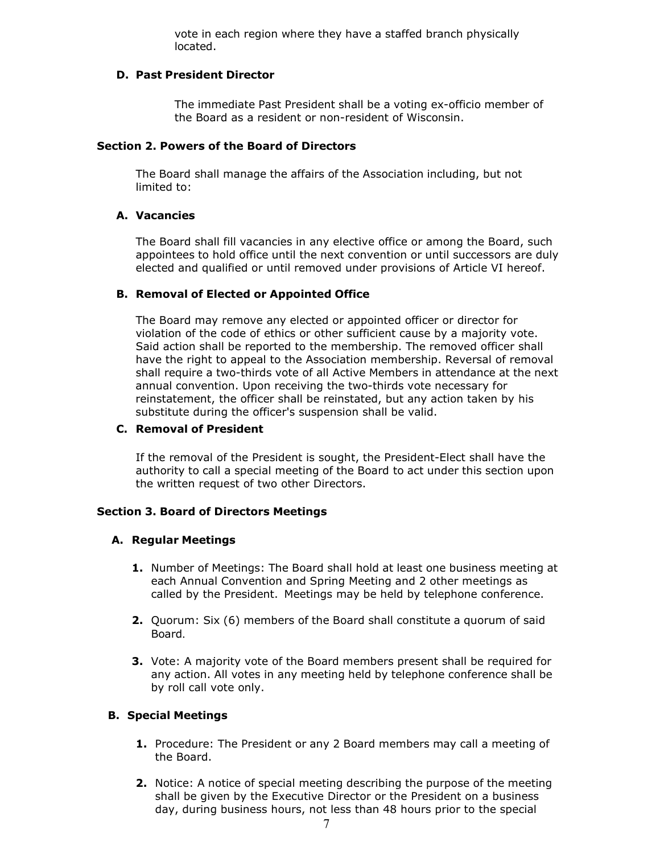vote in each region where they have a staffed branch physically located.

#### **D. Past President Director**

The immediate Past President shall be a voting ex-officio member of the Board as a resident or non-resident of Wisconsin.

#### **Section 2. Powers of the Board of Directors**

The Board shall manage the affairs of the Association including, but not limited to:

#### **A. Vacancies**

The Board shall fill vacancies in any elective office or among the Board, such appointees to hold office until the next convention or until successors are duly elected and qualified or until removed under provisions of Article VI hereof.

#### **B. Removal of Elected or Appointed Office**

The Board may remove any elected or appointed officer or director for violation of the code of ethics or other sufficient cause by a majority vote. Said action shall be reported to the membership. The removed officer shall have the right to appeal to the Association membership. Reversal of removal shall require a two-thirds vote of all Active Members in attendance at the next annual convention. Upon receiving the two-thirds vote necessary for reinstatement, the officer shall be reinstated, but any action taken by his substitute during the officer's suspension shall be valid.

#### **C. Removal of President**

If the removal of the President is sought, the President-Elect shall have the authority to call a special meeting of the Board to act under this section upon the written request of two other Directors.

#### **Section 3. Board of Directors Meetings**

#### **A. Regular Meetings**

- **1.** Number of Meetings: The Board shall hold at least one business meeting at each Annual Convention and Spring Meeting and 2 other meetings as called by the President. Meetings may be held by telephone conference.
- **2.** Quorum: Six (6) members of the Board shall constitute a quorum of said Board.
- **3.** Vote: A majority vote of the Board members present shall be required for any action. All votes in any meeting held by telephone conference shall be by roll call vote only.

#### **B. Special Meetings**

- **1.** Procedure: The President or any 2 Board members may call a meeting of the Board.
- **2.** Notice: A notice of special meeting describing the purpose of the meeting shall be given by the Executive Director or the President on a business day, during business hours, not less than 48 hours prior to the special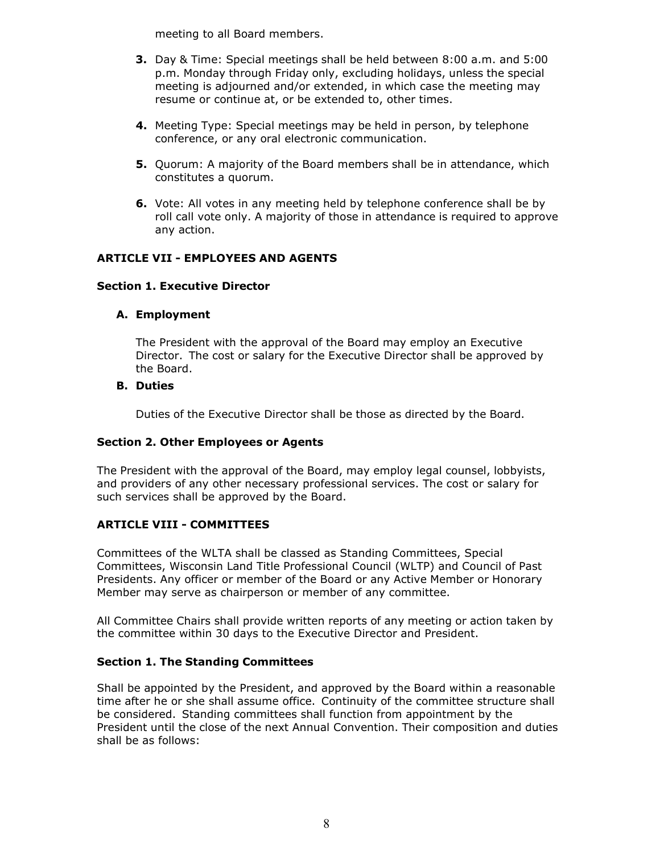meeting to all Board members.

- **3.** Day & Time: Special meetings shall be held between 8:00 a.m. and 5:00 p.m. Monday through Friday only, excluding holidays, unless the special meeting is adjourned and/or extended, in which case the meeting may resume or continue at, or be extended to, other times.
- **4.** Meeting Type: Special meetings may be held in person, by telephone conference, or any oral electronic communication.
- **5.** Quorum: A majority of the Board members shall be in attendance, which constitutes a quorum.
- **6.** Vote: All votes in any meeting held by telephone conference shall be by roll call vote only. A majority of those in attendance is required to approve any action.

# **ARTICLE VII - EMPLOYEES AND AGENTS**

#### **Section 1. Executive Director**

#### **A. Employment**

The President with the approval of the Board may employ an Executive Director. The cost or salary for the Executive Director shall be approved by the Board.

#### **B. Duties**

Duties of the Executive Director shall be those as directed by the Board.

#### **Section 2. Other Employees or Agents**

The President with the approval of the Board, may employ legal counsel, lobbyists, and providers of any other necessary professional services. The cost or salary for such services shall be approved by the Board.

#### **ARTICLE VIII - COMMITTEES**

Committees of the WLTA shall be classed as Standing Committees, Special Committees, Wisconsin Land Title Professional Council (WLTP) and Council of Past Presidents. Any officer or member of the Board or any Active Member or Honorary Member may serve as chairperson or member of any committee.

All Committee Chairs shall provide written reports of any meeting or action taken by the committee within 30 days to the Executive Director and President.

#### **Section 1. The Standing Committees**

Shall be appointed by the President, and approved by the Board within a reasonable time after he or she shall assume office. Continuity of the committee structure shall be considered. Standing committees shall function from appointment by the President until the close of the next Annual Convention. Their composition and duties shall be as follows: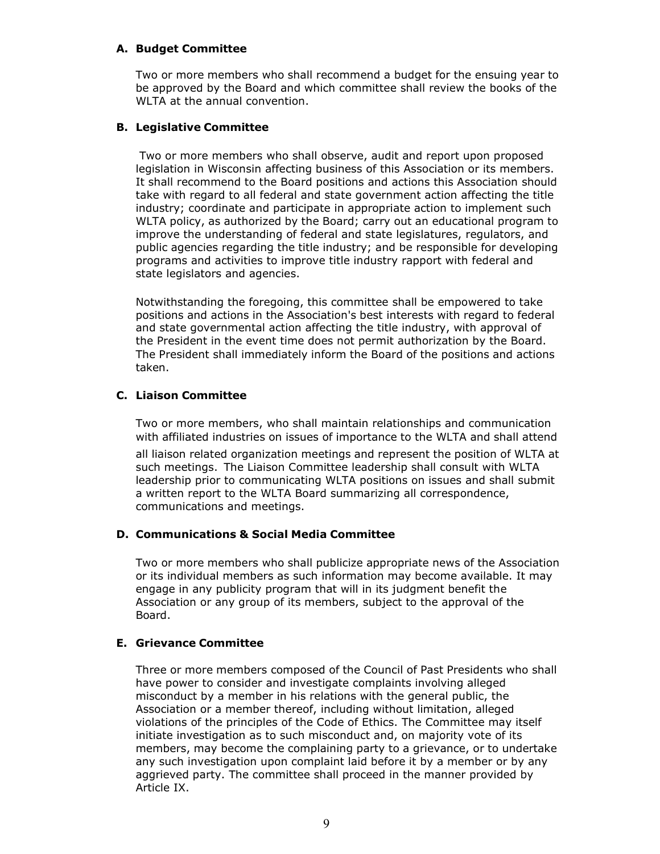## **A. Budget Committee**

Two or more members who shall recommend a budget for the ensuing year to be approved by the Board and which committee shall review the books of the WLTA at the annual convention.

# **B. Legislative Committee**

Two or more members who shall observe, audit and report upon proposed legislation in Wisconsin affecting business of this Association or its members. It shall recommend to the Board positions and actions this Association should take with regard to all federal and state government action affecting the title industry; coordinate and participate in appropriate action to implement such WLTA policy, as authorized by the Board; carry out an educational program to improve the understanding of federal and state legislatures, regulators, and public agencies regarding the title industry; and be responsible for developing programs and activities to improve title industry rapport with federal and state legislators and agencies.

Notwithstanding the foregoing, this committee shall be empowered to take positions and actions in the Association's best interests with regard to federal and state governmental action affecting the title industry, with approval of the President in the event time does not permit authorization by the Board. The President shall immediately inform the Board of the positions and actions taken.

# **C. Liaison Committee**

Two or more members, who shall maintain relationships and communication with affiliated industries on issues of importance to the WLTA and shall attend all liaison related organization meetings and represent the position of WLTA at such meetings. The Liaison Committee leadership shall consult with WLTA leadership prior to communicating WLTA positions on issues and shall submit a written report to the WLTA Board summarizing all correspondence, communications and meetings.

#### **D. Communications & Social Media Committee**

Two or more members who shall publicize appropriate news of the Association or its individual members as such information may become available. It may engage in any publicity program that will in its judgment benefit the Association or any group of its members, subject to the approval of the Board.

# **E. Grievance Committee**

Three or more members composed of the Council of Past Presidents who shall have power to consider and investigate complaints involving alleged misconduct by a member in his relations with the general public, the Association or a member thereof, including without limitation, alleged violations of the principles of the Code of Ethics. The Committee may itself initiate investigation as to such misconduct and, on majority vote of its members, may become the complaining party to a grievance, or to undertake any such investigation upon complaint laid before it by a member or by any aggrieved party. The committee shall proceed in the manner provided by Article IX.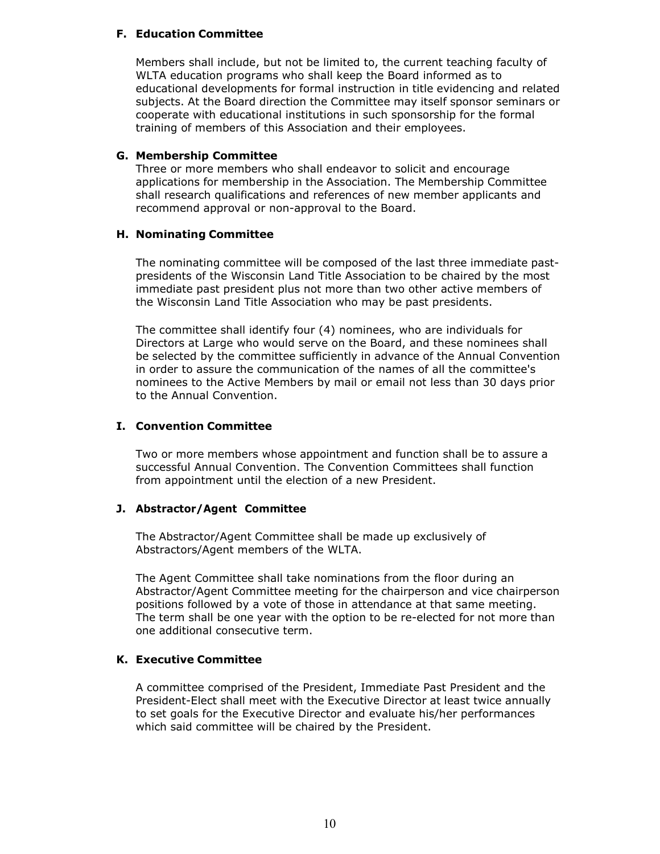#### **F. Education Committee**

Members shall include, but not be limited to, the current teaching faculty of WLTA education programs who shall keep the Board informed as to educational developments for formal instruction in title evidencing and related subjects. At the Board direction the Committee may itself sponsor seminars or cooperate with educational institutions in such sponsorship for the formal training of members of this Association and their employees.

#### **G. Membership Committee**

Three or more members who shall endeavor to solicit and encourage applications for membership in the Association. The Membership Committee shall research qualifications and references of new member applicants and recommend approval or non-approval to the Board.

#### **H. Nominating Committee**

The nominating committee will be composed of the last three immediate pastpresidents of the Wisconsin Land Title Association to be chaired by the most immediate past president plus not more than two other active members of the Wisconsin Land Title Association who may be past presidents.

The committee shall identify four (4) nominees, who are individuals for Directors at Large who would serve on the Board, and these nominees shall be selected by the committee sufficiently in advance of the Annual Convention in order to assure the communication of the names of all the committee's nominees to the Active Members by mail or email not less than 30 days prior to the Annual Convention.

## **I. Convention Committee**

Two or more members whose appointment and function shall be to assure a successful Annual Convention. The Convention Committees shall function from appointment until the election of a new President.

#### **J. Abstractor/Agent Committee**

The Abstractor/Agent Committee shall be made up exclusively of Abstractors/Agent members of the WLTA.

The Agent Committee shall take nominations from the floor during an Abstractor/Agent Committee meeting for the chairperson and vice chairperson positions followed by a vote of those in attendance at that same meeting. The term shall be one year with the option to be re-elected for not more than one additional consecutive term.

#### **K. Executive Committee**

A committee comprised of the President, Immediate Past President and the President-Elect shall meet with the Executive Director at least twice annually to set goals for the Executive Director and evaluate his/her performances which said committee will be chaired by the President.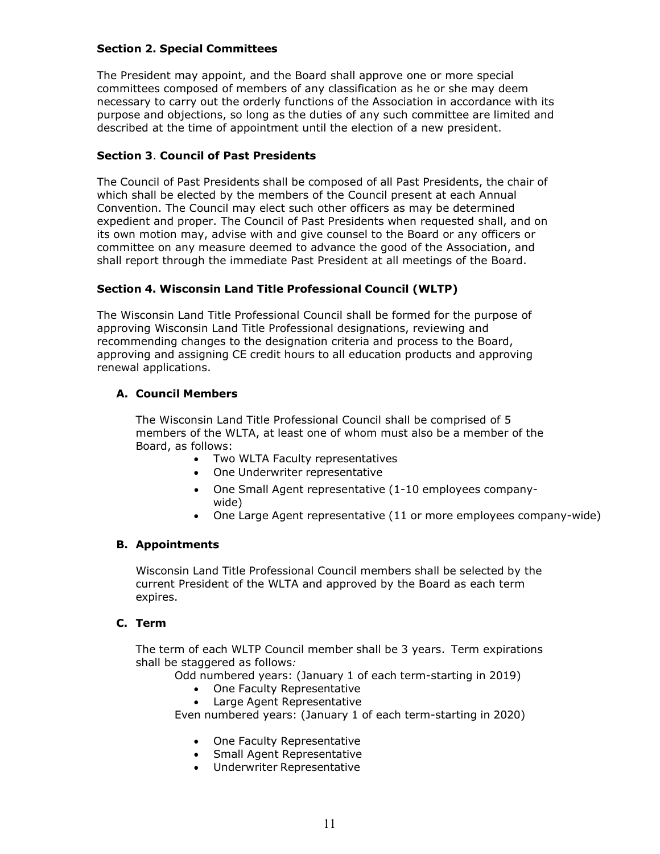## **Section 2. Special Committees**

The President may appoint, and the Board shall approve one or more special committees composed of members of any classification as he or she may deem necessary to carry out the orderly functions of the Association in accordance with its purpose and objections, so long as the duties of any such committee are limited and described at the time of appointment until the election of a new president.

## **Section 3**. **Council of Past Presidents**

The Council of Past Presidents shall be composed of all Past Presidents, the chair of which shall be elected by the members of the Council present at each Annual Convention. The Council may elect such other officers as may be determined expedient and proper. The Council of Past Presidents when requested shall, and on its own motion may, advise with and give counsel to the Board or any officers or committee on any measure deemed to advance the good of the Association, and shall report through the immediate Past President at all meetings of the Board.

# **Section 4. Wisconsin Land Title Professional Council (WLTP)**

The Wisconsin Land Title Professional Council shall be formed for the purpose of approving Wisconsin Land Title Professional designations, reviewing and recommending changes to the designation criteria and process to the Board, approving and assigning CE credit hours to all education products and approving renewal applications.

# **A. Council Members**

The Wisconsin Land Title Professional Council shall be comprised of 5 members of the WLTA, at least one of whom must also be a member of the Board, as follows:

- Two WLTA Faculty representatives
- One Underwriter representative
- One Small Agent representative (1-10 employees companywide)
- One Large Agent representative (11 or more employees company-wide)

#### **B. Appointments**

Wisconsin Land Title Professional Council members shall be selected by the current President of the WLTA and approved by the Board as each term expires.

# **C. Term**

The term of each WLTP Council member shall be 3 years. Term expirations shall be staggered as follows*:*

Odd numbered years: (January 1 of each term-starting in 2019)

- One Faculty Representative
- Large Agent Representative

Even numbered years: (January 1 of each term-starting in 2020)

- One Faculty Representative
- Small Agent Representative
- Underwriter Representative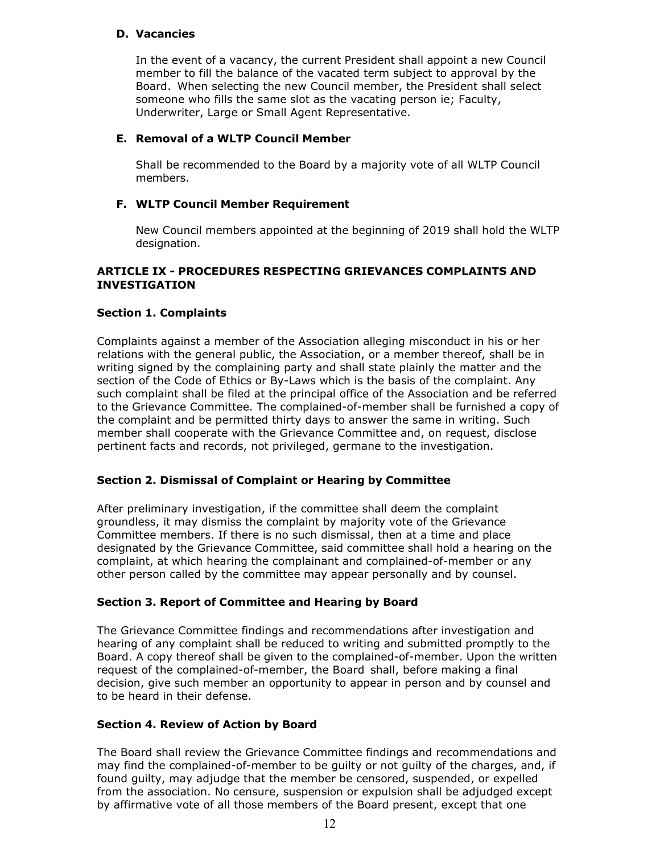# **D. Vacancies**

In the event of a vacancy, the current President shall appoint a new Council member to fill the balance of the vacated term subject to approval by the Board. When selecting the new Council member, the President shall select someone who fills the same slot as the vacating person ie; Faculty, Underwriter, Large or Small Agent Representative.

#### **E. Removal of a WLTP Council Member**

Shall be recommended to the Board by a majority vote of all WLTP Council members.

# **F. WLTP Council Member Requirement**

New Council members appointed at the beginning of 2019 shall hold the WLTP designation.

#### **ARTICLE IX - PROCEDURES RESPECTING GRIEVANCES COMPLAINTS AND INVESTIGATION**

# **Section 1. Complaints**

Complaints against a member of the Association alleging misconduct in his or her relations with the general public, the Association, or a member thereof, shall be in writing signed by the complaining party and shall state plainly the matter and the section of the Code of Ethics or By-Laws which is the basis of the complaint. Any such complaint shall be filed at the principal office of the Association and be referred to the Grievance Committee. The complained-of-member shall be furnished a copy of the complaint and be permitted thirty days to answer the same in writing. Such member shall cooperate with the Grievance Committee and, on request, disclose pertinent facts and records, not privileged, germane to the investigation.

# **Section 2. Dismissal of Complaint or Hearing by Committee**

After preliminary investigation, if the committee shall deem the complaint groundless, it may dismiss the complaint by majority vote of the Grievance Committee members. If there is no such dismissal, then at a time and place designated by the Grievance Committee, said committee shall hold a hearing on the complaint, at which hearing the complainant and complained-of-member or any other person called by the committee may appear personally and by counsel.

#### **Section 3. Report of Committee and Hearing by Board**

The Grievance Committee findings and recommendations after investigation and hearing of any complaint shall be reduced to writing and submitted promptly to the Board. A copy thereof shall be given to the complained-of-member. Upon the written request of the complained-of-member, the Board shall, before making a final decision, give such member an opportunity to appear in person and by counsel and to be heard in their defense.

# **Section 4. Review of Action by Board**

The Board shall review the Grievance Committee findings and recommendations and may find the complained-of-member to be guilty or not guilty of the charges, and, if found guilty, may adjudge that the member be censored, suspended, or expelled from the association. No censure, suspension or expulsion shall be adjudged except by affirmative vote of all those members of the Board present, except that one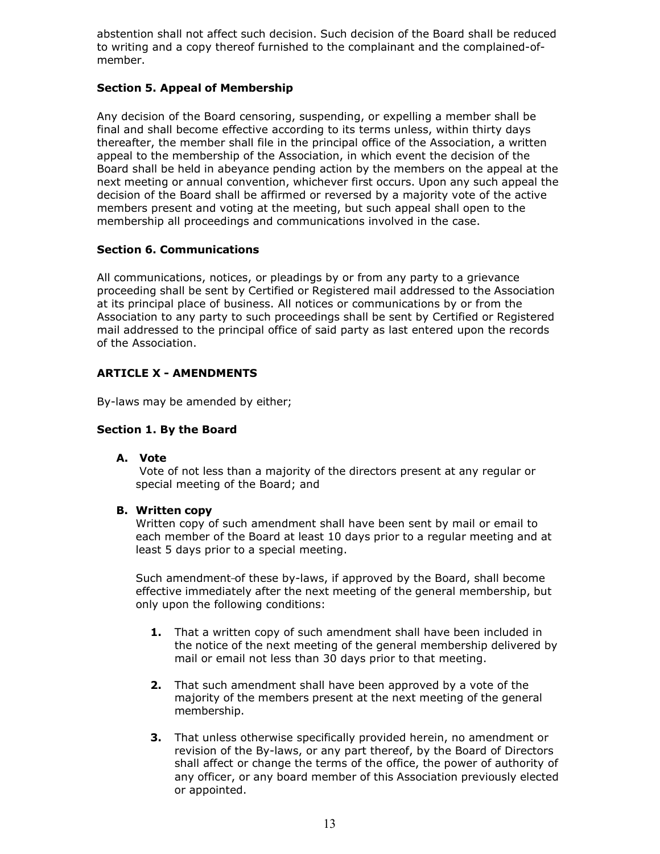abstention shall not affect such decision. Such decision of the Board shall be reduced to writing and a copy thereof furnished to the complainant and the complained-ofmember.

# **Section 5. Appeal of Membership**

Any decision of the Board censoring, suspending, or expelling a member shall be final and shall become effective according to its terms unless, within thirty days thereafter, the member shall file in the principal office of the Association, a written appeal to the membership of the Association, in which event the decision of the Board shall be held in abeyance pending action by the members on the appeal at the next meeting or annual convention, whichever first occurs. Upon any such appeal the decision of the Board shall be affirmed or reversed by a majority vote of the active members present and voting at the meeting, but such appeal shall open to the membership all proceedings and communications involved in the case.

#### **Section 6. Communications**

All communications, notices, or pleadings by or from any party to a grievance proceeding shall be sent by Certified or Registered mail addressed to the Association at its principal place of business. All notices or communications by or from the Association to any party to such proceedings shall be sent by Certified or Registered mail addressed to the principal office of said party as last entered upon the records of the Association.

# **ARTICLE X - AMENDMENTS**

By-laws may be amended by either;

#### **Section 1. By the Board**

**A. Vote**

Vote of not less than a majority of the directors present at any regular or special meeting of the Board; and

#### **B. Written copy**

Written copy of such amendment shall have been sent by mail or email to each member of the Board at least 10 days prior to a regular meeting and at least 5 days prior to a special meeting.

Such amendment-of these by-laws, if approved by the Board, shall become effective immediately after the next meeting of the general membership, but only upon the following conditions:

- **1.** That a written copy of such amendment shall have been included in the notice of the next meeting of the general membership delivered by mail or email not less than 30 days prior to that meeting.
- **2.** That such amendment shall have been approved by a vote of the majority of the members present at the next meeting of the general membership.
- **3.** That unless otherwise specifically provided herein, no amendment or revision of the By-laws, or any part thereof, by the Board of Directors shall affect or change the terms of the office, the power of authority of any officer, or any board member of this Association previously elected or appointed.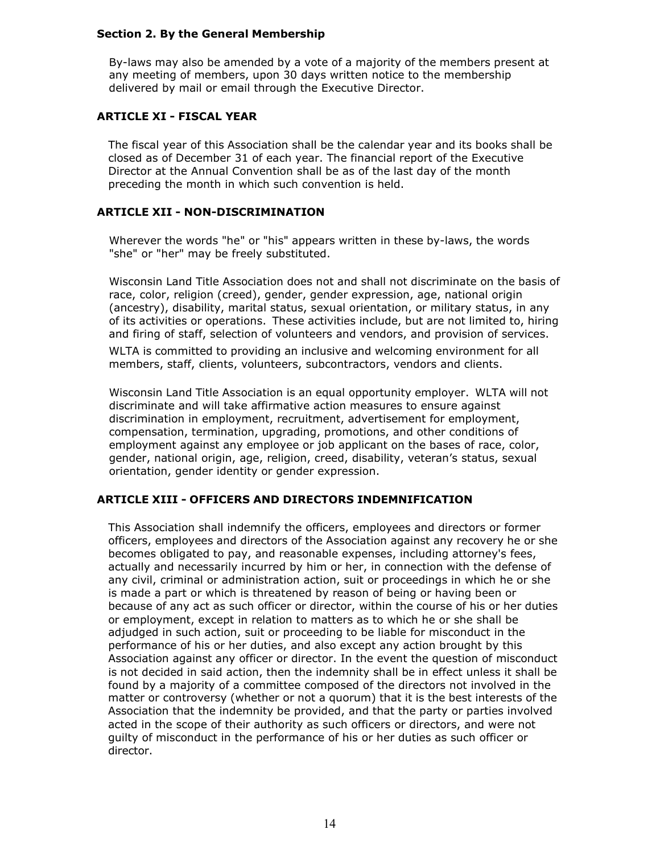#### **Section 2. By the General Membership**

By-laws may also be amended by a vote of a majority of the members present at any meeting of members, upon 30 days written notice to the membership delivered by mail or email through the Executive Director.

# **ARTICLE XI - FISCAL YEAR**

The fiscal year of this Association shall be the calendar year and its books shall be closed as of December 31 of each year. The financial report of the Executive Director at the Annual Convention shall be as of the last day of the month preceding the month in which such convention is held.

#### **ARTICLE XII - NON-DISCRIMINATION**

Wherever the words "he" or "his" appears written in these by-laws, the words "she" or "her" may be freely substituted.

Wisconsin Land Title Association does not and shall not discriminate on the basis of race, color, religion (creed), gender, gender expression, age, national origin (ancestry), disability, marital status, sexual orientation, or military status, in any of its activities or operations. These activities include, but are not limited to, hiring and firing of staff, selection of volunteers and vendors, and provision of services.

WLTA is committed to providing an inclusive and welcoming environment for all members, staff, clients, volunteers, subcontractors, vendors and clients.

Wisconsin Land Title Association is an equal opportunity employer. WLTA will not discriminate and will take affirmative action measures to ensure against discrimination in employment, recruitment, advertisement for employment, compensation, termination, upgrading, promotions, and other conditions of employment against any employee or job applicant on the bases of race, color, gender, national origin, age, religion, creed, disability, veteran's status, sexual orientation, gender identity or gender expression.

#### **ARTICLE XIII - OFFICERS AND DIRECTORS INDEMNIFICATION**

This Association shall indemnify the officers, employees and directors or former officers, employees and directors of the Association against any recovery he or she becomes obligated to pay, and reasonable expenses, including attorney's fees, actually and necessarily incurred by him or her, in connection with the defense of any civil, criminal or administration action, suit or proceedings in which he or she is made a part or which is threatened by reason of being or having been or because of any act as such officer or director, within the course of his or her duties or employment, except in relation to matters as to which he or she shall be adjudged in such action, suit or proceeding to be liable for misconduct in the performance of his or her duties, and also except any action brought by this Association against any officer or director. In the event the question of misconduct is not decided in said action, then the indemnity shall be in effect unless it shall be found by a majority of a committee composed of the directors not involved in the matter or controversy (whether or not a quorum) that it is the best interests of the Association that the indemnity be provided, and that the party or parties involved acted in the scope of their authority as such officers or directors, and were not guilty of misconduct in the performance of his or her duties as such officer or director.